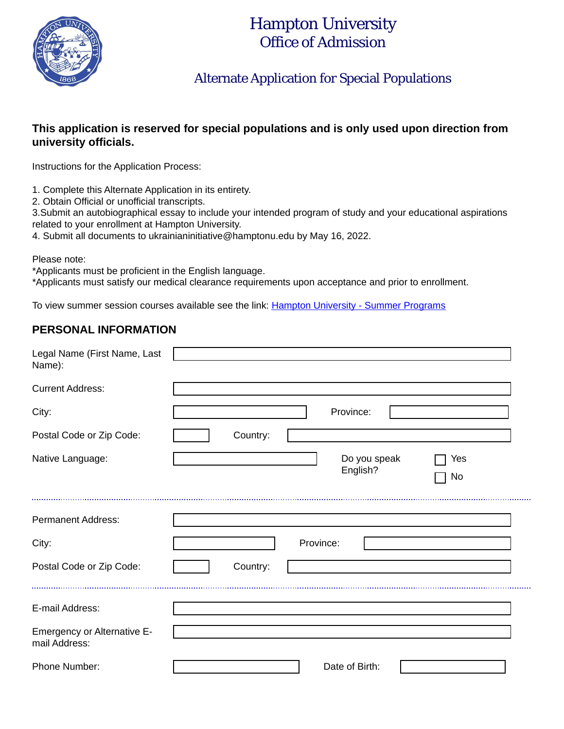

## Hampton University Office of Admission

## Alternate Application for Special Populations

## **This application is reserved for special populations and is only used upon direction from university officials.**

Instructions for the Application Process:

- 1. Complete this Alternate Application in its entirety.
- 2. Obtain Official or unofficial transcripts.

3.Submit an autobiographical essay to include your intended program of study and your educational aspirations related to your enrollment at Hampton University.

4. Submit all documents to ukrainianinitiative@hamptonu.edu by May 16, 2022.

Please note:

\*Applicants must be proficient in the English language.

\*Applicants must satisfy our medical clearance requirements upon acceptance and prior to enrollment.

To view summer session courses available see the link: [Hampton University - Summer Programs](https://www.hamptonu.edu/academics/summer/)

## **PERSONAL INFORMATION**

| Legal Name (First Name, Last<br>Name):       |          |           |                          |           |
|----------------------------------------------|----------|-----------|--------------------------|-----------|
| <b>Current Address:</b>                      |          |           |                          |           |
| City:                                        |          |           | Province:                |           |
| Postal Code or Zip Code:                     | Country: |           |                          |           |
| Native Language:                             |          |           | Do you speak<br>English? | Yes<br>No |
| <b>Permanent Address:</b>                    |          |           |                          |           |
| City:                                        |          | Province: |                          |           |
| Postal Code or Zip Code:                     | Country: |           |                          |           |
| E-mail Address:                              |          |           |                          |           |
| Emergency or Alternative E-<br>mail Address: |          |           |                          |           |
| Phone Number:                                |          |           | Date of Birth:           |           |